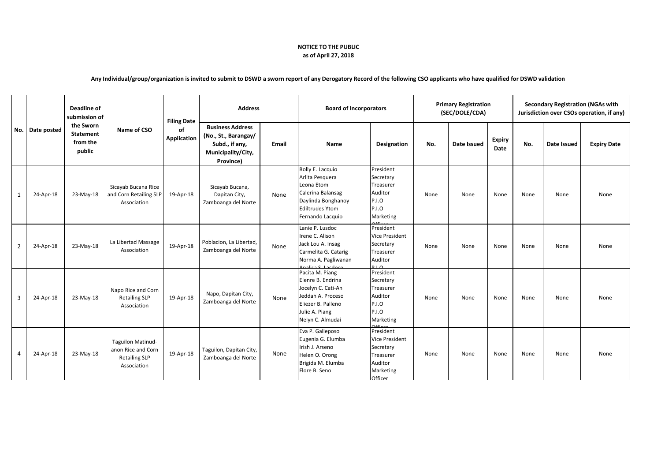## **NOTICE TO THE PUBLIC as of April 27, 2018**

## **Any Individual/group/organization is invited to submit to DSWD a sworn report of any Derogatory Record of the following CSO applicants who have qualified for DSWD validation**

| No.                     | Date posted | <b>Deadline of</b><br>submission of<br>the Sworn<br><b>Statement</b><br>from the<br>public | Name of CSO                                                                           | <b>Filing Date</b><br>of<br><b>Application</b> | <b>Address</b>                                                                                       |       | <b>Board of Incorporators</b>                                                                                                               |                                                                                                 | <b>Primary Registration</b><br>(SEC/DOLE/CDA) |             |                       | <b>Secondary Registration (NGAs with</b><br>Jurisdiction over CSOs operation, if any) |             |                    |
|-------------------------|-------------|--------------------------------------------------------------------------------------------|---------------------------------------------------------------------------------------|------------------------------------------------|------------------------------------------------------------------------------------------------------|-------|---------------------------------------------------------------------------------------------------------------------------------------------|-------------------------------------------------------------------------------------------------|-----------------------------------------------|-------------|-----------------------|---------------------------------------------------------------------------------------|-------------|--------------------|
|                         |             |                                                                                            |                                                                                       |                                                | <b>Business Address</b><br>(No., St., Barangay/<br>Subd., if any,<br>Municipality/City,<br>Province) | Email | Name                                                                                                                                        | Designation                                                                                     | No.                                           | Date Issued | <b>Expiry</b><br>Date | No.                                                                                   | Date Issued | <b>Expiry Date</b> |
| $\mathbf{1}$            | 24-Apr-18   | 23-May-18                                                                                  | Sicayab Bucana Rice<br>and Corn Retailing SLP<br>Association                          | 19-Apr-18                                      | Sicayab Bucana,<br>Dapitan City,<br>Zamboanga del Norte                                              | None  | Rolly E. Lacquio<br>Arlita Pesquera<br>Leona Etom<br>Calerina Balansag<br>Daylinda Bonghanoy<br><b>Ediltrudes Ytom</b><br>Fernando Lacquio  | President<br>Secretary<br>Treasurer<br>Auditor<br>P.I.O<br>P.I.O<br>Marketing                   | None                                          | None        | None                  | None                                                                                  | None        | None               |
| $\overline{2}$          | 24-Apr-18   | 23-May-18                                                                                  | La Libertad Massage<br>Association                                                    | 19-Apr-18                                      | Poblacion, La Libertad,<br>Zamboanga del Norte                                                       | None  | Lanie P. Lusdoc<br>Irene C. Alison<br>Jack Lou A. Insag<br>Carmelita G. Catarig<br>Norma A. Pagliwanan<br>alica S. Lacdocc                  | President<br><b>Vice President</b><br>Secretary<br>Treasurer<br>Auditor<br>0 <sub>1</sub>       | None                                          | None        | None                  | None                                                                                  | None        | None               |
| $\overline{\mathbf{3}}$ | 24-Apr-18   | 23-May-18                                                                                  | Napo Rice and Corn<br><b>Retailing SLP</b><br>Association                             | 19-Apr-18                                      | Napo, Dapitan City,<br>Zamboanga del Norte                                                           | None  | Pacita M. Piang<br>Elenre B. Endrina<br>Jocelyn C. Cati-An<br>Jeddah A. Proceso<br>Eliezer B. Palleno<br>Julie A. Piang<br>Nelyn C. Almudai | President<br>Secretary<br>Treasurer<br>Auditor<br><b>P.I.O</b><br>P.I.O<br>Marketing            | None                                          | None        | None                  | None                                                                                  | None        | None               |
| $\overline{4}$          | 24-Apr-18   | 23-May-18                                                                                  | <b>Taguilon Matinud-</b><br>anon Rice and Corn<br><b>Retailing SLP</b><br>Association | 19-Apr-18                                      | Taguilon, Dapitan City,<br>Zamboanga del Norte                                                       | None  | Eva P. Galleposo<br>Eugenia G. Elumba<br>Irish J. Arseno<br>Helen O. Orong<br>Brigida M. Elumba<br>Flore B. Seno                            | President<br><b>Vice President</b><br>Secretary<br>Treasurer<br>Auditor<br>Marketing<br>Officer | None                                          | None        | None                  | None                                                                                  | None        | None               |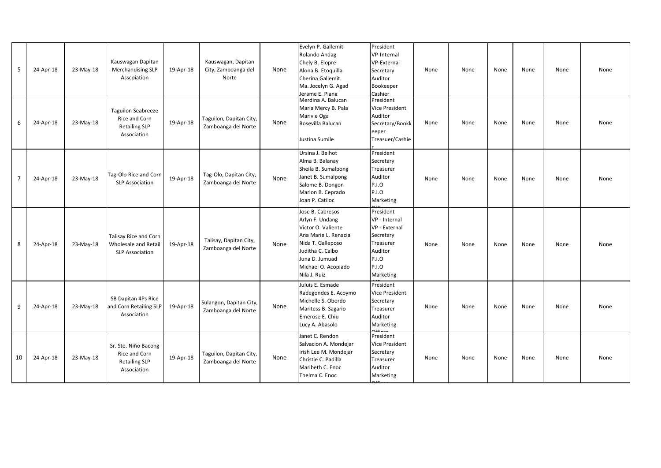| 5  | 24-Apr-18 | 23-May-18 | Kauswagan Dapitan<br><b>Merchandising SLP</b><br>Asscoiation                      | 19-Apr-18 | Kauswagan, Dapitan<br>City, Zamboanga del<br>Norte | None | Evelyn P. Gallemit<br>Rolando Andag<br>Chely B. Elopre<br>Alona B. Etoquilla<br>Cherina Gallemit<br>Ma. Jocelyn G. Agad<br>Jerame F. Piang                                          | President<br>VP-Internal<br><b>VP-External</b><br>Secretary<br>Auditor<br>Bookeeper<br>Cashier                  | None | None | None | None | None | None |
|----|-----------|-----------|-----------------------------------------------------------------------------------|-----------|----------------------------------------------------|------|-------------------------------------------------------------------------------------------------------------------------------------------------------------------------------------|-----------------------------------------------------------------------------------------------------------------|------|------|------|------|------|------|
| 6  | 24-Apr-18 | 23-May-18 | <b>Taguilon Seabreeze</b><br>Rice and Corn<br><b>Retailing SLP</b><br>Association | 19-Apr-18 | Taguilon, Dapitan City,<br>Zamboanga del Norte     | None | Merdina A. Balucan<br>Maria Mercy B. Pala<br>Marivie Oga<br>Rosevilla Balucan<br>Justina Sumile                                                                                     | President<br>Vice President<br>Auditor<br>Secretary/Bookk<br>eeper<br>Treasuer/Cashie                           | None | None | None | None | None | None |
| 7  | 24-Apr-18 | 23-May-18 | Tag-Olo Rice and Corn<br><b>SLP Association</b>                                   | 19-Apr-18 | Tag-Olo, Dapitan City,<br>Zamboanga del Norte      | None | Ursina J. Belhot<br>Alma B. Balanay<br>Sheila B. Sumalpong<br>Janet B. Sumalpong<br>Salome B. Dongon<br>Marlon B. Ceprado<br>Joan P. Catiloc                                        | President<br>Secretary<br>Treasurer<br>Auditor<br>P.I.O<br><b>P.I.O</b><br>Marketing                            | None | None | None | None | None | None |
| 8  | 24-Apr-18 | 23-May-18 | Talisay Rice and Corn<br>Wholesale and Retail<br><b>SLP Association</b>           | 19-Apr-18 | Talisay, Dapitan City,<br>Zamboanga del Norte      | None | Jose B. Cabresos<br>Arlyn F. Undang<br>Victor O. Valiente<br>Ana Marie L. Renacia<br>Nida T. Galleposo<br>Juditha C. Calbo<br>Juna D. Jumuad<br>Michael O. Acopiado<br>Nila J. Ruiz | President<br>VP - Internal<br>VP - External<br>Secretary<br>Treasurer<br>Auditor<br>P.I.O<br>P.I.O<br>Marketing | None | None | None | None | None | None |
| 9  | 24-Apr-18 | 23-May-18 | SB Dapitan 4Ps Rice<br>and Corn Retailing SLP<br>Association                      | 19-Apr-18 | Sulangon, Dapitan City,<br>Zamboanga del Norte     | None | Juluis E. Esmade<br>Radegondes E. Acoymo<br>Michelle S. Obordo<br>Maritess B. Sagario<br>Emerose E. Chiu<br>Lucy A. Abasolo                                                         | President<br>Vice President<br>Secretary<br>Treasurer<br>Auditor<br>Marketing                                   | None | None | None | None | None | None |
| 10 | 24-Apr-18 | 23-May-18 | Sr. Sto. Niño Bacong<br>Rice and Corn<br><b>Retailing SLP</b><br>Association      | 19-Apr-18 | Taguilon, Dapitan City,<br>Zamboanga del Norte     | None | Janet C. Rendon<br>Salvacion A. Mondejar<br>irish Lee M. Mondejar<br>Christie C. Padilla<br>Maribeth C. Enoc<br>Thelma C. Enoc                                                      | President<br>Vice President<br>Secretary<br>Treasurer<br>Auditor<br>Marketing                                   | None | None | None | None | None | None |